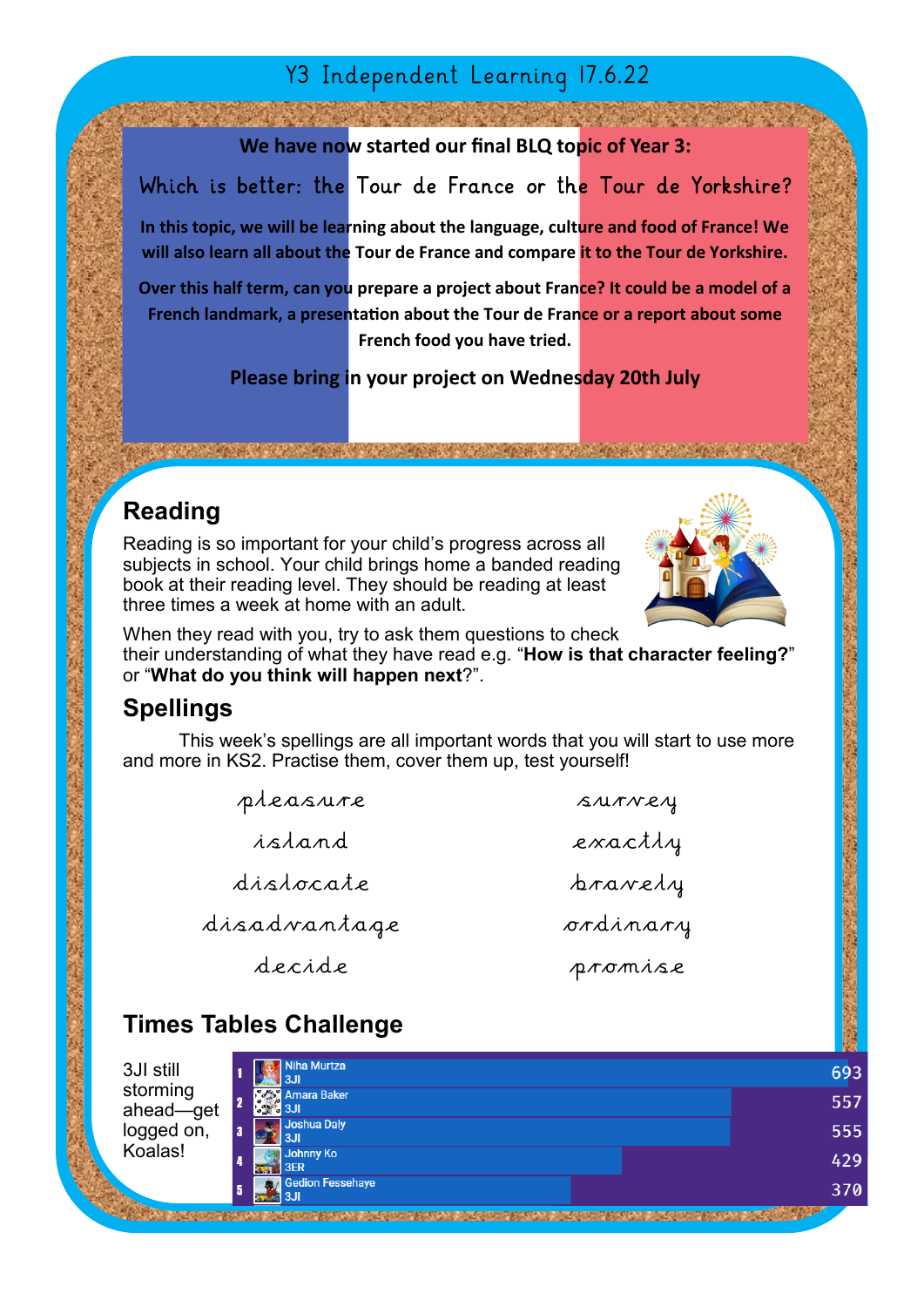# Y3 Independent Learning 17.6.22

**We have now started our final BLQ topic of Year 3:**

Which is better: the Tour de France or the Tour de Yorkshire?

**In this topic, we will be learning about the language, culture and food of France! We will also learn all about the Tour de France and compare it to the Tour de Yorkshire.**

**Over this half term, can you prepare a project about France? It could be a model of a French landmark, a presentation about the Tour de France or a report about some French food you have tried.** 

**Please bring in your project on Wednesday 20th July**

# **Reading**

PARTY A PERSONAL

Reading is so important for your child's progress across all subjects in school. Your child brings home a banded reading book at their reading level. They should be reading at least three times a week at home with an adult.



**ARTICLE AND LINES** 

When they read with you, try to ask them questions to check their understanding of what they have read e.g. "**How is that character feeling?**" or "**What do you think will happen next**?".

### **Spellings**

This week's spellings are all important words that you will start to use more and more in KS2. Practise them, cover them up, test yourself!

| pleasure     | SUTNey   |
|--------------|----------|
| island       | exactly  |
| distocate    | pravely  |
| disadvantage | ordinary |
| decide       | promise  |

### **Times Tables Challenge**

Niha Murtza 3JI still 693  $3.1$ storming **Amara Baker** 557 ahead—get  $3.11$ **Joshua Daly** logged on, 555  $3.11$ Koalas! Johnny Ko 429 3ER Gedion Fessehave 370